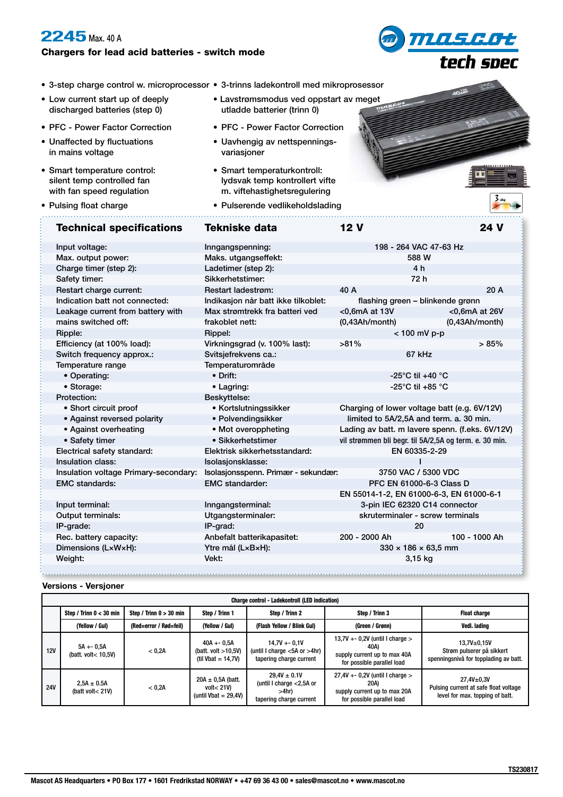## **2245** Max. 40 A

## Chargers for lead acid batteries - switch mode

- <u>MASESt</u> tech spec
- 3-step charge control w. microprocessor 3-trinns ladekontroll med mikroprosessor

. . . . . . . . . . . . . . . . . . . .

- Low current start up of deeply discharged batteries (step 0)
- PFC Power Factor Correction
- Unaffected by fluctuations in mains voltage
- Smart temperature control: silent temp controlled fan with fan speed regulation

• Pulsing float charge

- Lavstrømsmodus ved oppstart av meget utladde batterier (trinn 0)
- PFC Power Factor Correction
- Uavhengig av nettspenningsvariasjoner
- Smart temperaturkontroll: lydsvak temp kontrollert vifte m. viftehastighetsregulering
- Pulserende vedlikeholdslading

| ----- |          |  |
|-------|----------|--|
|       | $5 - 44$ |  |
|       |          |  |

 $\frac{1}{2}$ 

| <b>Technical specifications</b>       | <b>Tekniske data</b>                | <b>12 V</b>                                            | 24 V          |  |
|---------------------------------------|-------------------------------------|--------------------------------------------------------|---------------|--|
| Input voltage:                        | Inngangspenning:                    | 198 - 264 VAC 47-63 Hz                                 |               |  |
| Max. output power:                    | Maks. utgangseffekt:                | 588 W                                                  |               |  |
| Charge timer (step 2):                | Ladetimer (step 2):                 | 4 h                                                    |               |  |
| Safety timer:                         | Sikkerhetstimer:                    | 72 h                                                   |               |  |
| Restart charge current:               | <b>Restart ladestrøm:</b>           | 40 A                                                   | 20 A          |  |
| Indication batt not connected:        | Indikasjon når batt ikke tilkoblet: | flashing green - blinkende grønn                       |               |  |
| Leakage current from battery with     | Max strømtrekk fra batteri ved      | <0,6mA at 13V                                          | <0,6mA at 26V |  |
| mains switched off:                   | frakoblet nett:                     | (0,43Ah/mol)                                           | (0,43Ah/mol)  |  |
| Ripple:                               | Rippel:                             | $< 100$ mV p-p                                         |               |  |
| Efficiency (at 100% load):            | Virkningsgrad (v. 100% last):       | $>81\%$                                                | >85%          |  |
| Switch frequency approx.:             | Svitsjefrekvens ca.:                | 67 kHz                                                 |               |  |
| Temperature range                     | Temperaturområde                    |                                                        |               |  |
| • Operating:                          | $\bullet$ Drift:                    | -25 $^{\circ}$ C til +40 $^{\circ}$ C                  |               |  |
| • Storage:                            | • Lagring:                          | -25 $^{\circ}$ C til +85 $^{\circ}$ C                  |               |  |
| Protection:                           | Beskyttelse:                        |                                                        |               |  |
| • Short circuit proof                 | • Kortslutningssikker               | Charging of lower voltage batt (e.g. 6V/12V)           |               |  |
| • Against reversed polarity           | • Polvendingsikker                  | limited to 5A/2,5A and term. a. 30 min.                |               |  |
| • Against overheating                 | • Mot overoppheting                 | Lading av batt. m lavere spenn. (f.eks. 6V/12V)        |               |  |
| • Safety timer                        | • Sikkerhetstimer                   | vil strømmen bli begr. til 5A/2,5A og term. e. 30 min. |               |  |
| Electrical safety standard:           | Elektrisk sikkerhetsstandard:       | EN 60335-2-29                                          |               |  |
| Insulation class:                     | Isolasjonsklasse:                   |                                                        |               |  |
| Insulation voltage Primary-secondary: | Isolasjonsspenn. Primær - sekundær: | 3750 VAC / 5300 VDC                                    |               |  |
| <b>EMC</b> standards:                 | <b>EMC</b> standarder:              | PFC EN 61000-6-3 Class D                               |               |  |
|                                       |                                     | EN 55014-1-2, EN 61000-6-3, EN 61000-6-1               |               |  |
| Input terminal:                       | Inngangsterminal:                   | 3-pin IEC 62320 C14 connector                          |               |  |
| Output terminals:                     | Utgangsterminaler:                  | skruterminaler - screw terminals                       |               |  |
| IP-grade:                             | IP-grad:                            | 20                                                     |               |  |
| Rec. battery capacity:                | Anbefalt batterikapasitet:          | 200 - 2000 Ah                                          | 100 - 1000 Ah |  |
| Dimensions (LxWxH):                   | Ytre mål (LxBxH):                   | $330 \times 186 \times 63.5$ mm                        |               |  |
| Weight:                               | Vekt:                               | 3,15 kg                                                |               |  |

## **Versions - Versjoner**

| <b>Charge control - Ladekontroll (LED indication)</b> |                                       |                           |                                                                 |                                                                                     |                                                                                                           |                                                                                            |  |  |  |
|-------------------------------------------------------|---------------------------------------|---------------------------|-----------------------------------------------------------------|-------------------------------------------------------------------------------------|-----------------------------------------------------------------------------------------------------------|--------------------------------------------------------------------------------------------|--|--|--|
|                                                       | Step / Trinn $0 < 30$ min             | Step / Trinn $0 > 30$ min | Step / Trinn 1                                                  | Step / Trinn 2                                                                      | Step / Trinn 3                                                                                            | <b>Float charge</b>                                                                        |  |  |  |
|                                                       | (Yellow / Gul)                        | (Red=error / Rød=feil)    | (Yellow / Gul)                                                  | (Flash Yellow / Blink Gul)                                                          | (Green / Grønn)                                                                                           | Vedl. lading                                                                               |  |  |  |
| 12V                                                   | $5A + 0.5A$<br>(batt. volt< $10.5V$ ) | < 0.2A                    | $40A + 0.5A$<br>(batt. volt $>10,5V$ )<br>(til Vbat = $14,7V$ ) | $14.7V + -0.1V$<br>(until I charge $<$ 5A or $>$ 4hr)<br>tapering charge current    | 13,7V + - 0,2V (until I charge $>$<br>40A)<br>supply current up to max 40A<br>for possible parallel load  | $13,7V_{\pm}0,15V$<br>Strøm pulserer på sikkert<br>spenningsnivå for topplading av batt.   |  |  |  |
| <b>24V</b>                                            | $2.5A \pm 0.5A$<br>(batt volt< 21V)   | < 0.2A                    | $20A \pm 0.5A$ (batt.<br>volt< 21V)<br>(until Vbat = $29,4V$ )  | $29.4V \pm 0.1V$<br>(until I charge $<$ 2,5A or<br>>4hr)<br>tapering charge current | $27,4V + -0,2V$ (until I charge $>$<br>20A)<br>supply current up to max 20A<br>for possible parallel load | $27,4V + 0,3V$<br>Pulsing current at safe float voltage<br>level for max. topping of batt. |  |  |  |